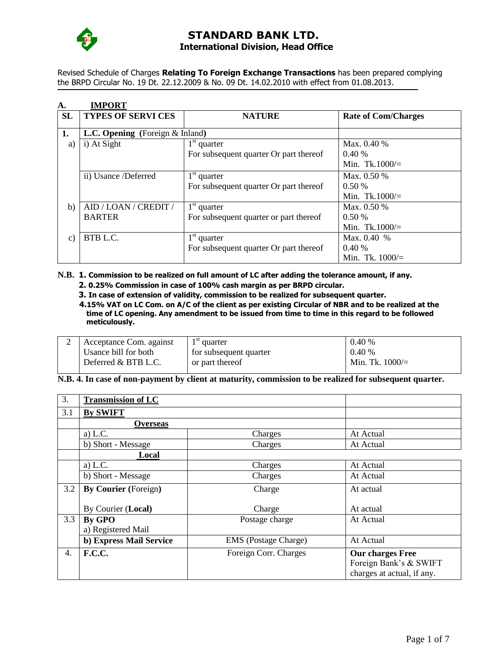

Revised Schedule of Charges **Relating To Foreign Exchange Transactions** has been prepared complying the BRPD Circular No. 19 Dt. 22.12.2009 & No. 09 Dt. 14.02.2010 with effect from 01.08.2013.

| A.              | <b>IMPORT</b>                             |                                        |                            |
|-----------------|-------------------------------------------|----------------------------------------|----------------------------|
| <b>SL</b>       | <b>TYPES OF SERVICES</b>                  | <b>NATURE</b>                          | <b>Rate of Com/Charges</b> |
|                 |                                           |                                        |                            |
| 1.              | <b>L.C. Opening</b> (Foreign $\&$ Inland) |                                        |                            |
| a)              | i) At Sight                               | $1st$ quarter                          | Max. 0.40 %                |
|                 |                                           | For subsequent quarter Or part thereof | 0.40%                      |
|                 |                                           |                                        | Min. Tk.1000/ $=$          |
|                 | ii) Usance /Deferred                      | $1st$ quarter                          | Max. $0.50\%$              |
|                 |                                           | For subsequent quarter Or part thereof | 0.50%                      |
|                 |                                           |                                        | Min. Tk.1000/ $=$          |
| b)              | AID / LOAN / CREDIT /                     | $1st$ quarter                          | Max. 0.50 %                |
|                 | <b>BARTER</b>                             | For subsequent quarter or part thereof | 0.50%                      |
|                 |                                           |                                        | Min. Tk.1000/ $=$          |
| $\mathcal{C}$ ) | BTB L.C.                                  | $1st$ quarter                          | Max. $0.40%$               |
|                 |                                           | For subsequent quarter Or part thereof | 0.40%                      |
|                 |                                           |                                        | Min. Tk. $1000/$           |

#### **N.B. 1. Commission to be realized on full amount of LC after adding the tolerance amount, if any. 2. 0.25% Commission in case of 100% cash margin as per BRPD circular.**

- **3. In case of extension of validity, commission to be realized for subsequent quarter.**
- **4.15% VAT on LC Com. on A/C of the client as per existing Circular of NBR and to be realized at the time of LC opening. Any amendment to be issued from time to time in this regard to be followed meticulously.**

| Acceptance Com. against | 1 SU<br>quarter        | 0.40%              |
|-------------------------|------------------------|--------------------|
| Usance bill for both    | for subsequent quarter | 0.40%              |
| Deferred & BTB L.C.     | or part thereof        | Min. Tk. $1000/$ = |

### **N.B. 4. In case of non-payment by client at maturity, commission to be realized for subsequent quarter.**

| 3.  | <b>Transmission of LC</b>   |                             |                                                                          |
|-----|-----------------------------|-----------------------------|--------------------------------------------------------------------------|
| 3.1 | <b>By SWIFT</b>             |                             |                                                                          |
|     | <b>Overseas</b>             |                             |                                                                          |
|     | a) $L.C.$                   | Charges                     | At Actual                                                                |
|     | b) Short - Message          | Charges                     | At Actual                                                                |
|     | Local                       |                             |                                                                          |
|     | a) $L.C.$                   | Charges                     | At Actual                                                                |
|     | b) Short - Message          | Charges                     | At Actual                                                                |
| 3.2 | <b>By Courier</b> (Foreign) | Charge                      | At actual                                                                |
|     | By Courier (Local)          | Charge                      | At actual                                                                |
| 3.3 | <b>By GPO</b>               | Postage charge              | At Actual                                                                |
|     | a) Registered Mail          |                             |                                                                          |
|     | b) Express Mail Service     | <b>EMS</b> (Postage Charge) | At Actual                                                                |
| 4.  | <b>F.C.C.</b>               | Foreign Corr. Charges       | Our charges Free<br>Foreign Bank's & SWIFT<br>charges at actual, if any. |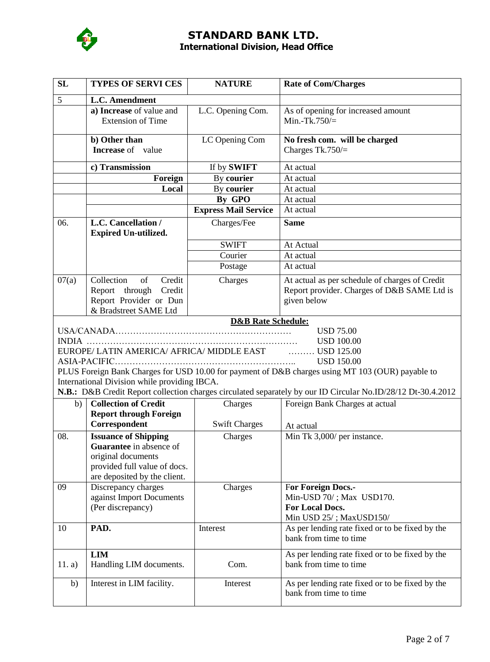

| SL                                                                                                                                                                                                                                                                                                                                                                                                        | <b>TYPES OF SERVI CES</b>                                                                                                                           | <b>NATURE</b>                 | <b>Rate of Com/Charges</b>                                                                                   |
|-----------------------------------------------------------------------------------------------------------------------------------------------------------------------------------------------------------------------------------------------------------------------------------------------------------------------------------------------------------------------------------------------------------|-----------------------------------------------------------------------------------------------------------------------------------------------------|-------------------------------|--------------------------------------------------------------------------------------------------------------|
| 5                                                                                                                                                                                                                                                                                                                                                                                                         | L.C. Amendment                                                                                                                                      |                               |                                                                                                              |
|                                                                                                                                                                                                                                                                                                                                                                                                           | a) Increase of value and<br><b>Extension of Time</b>                                                                                                | L.C. Opening Com.             | As of opening for increased amount<br>Min.-Tk.750/ $=$                                                       |
|                                                                                                                                                                                                                                                                                                                                                                                                           | b) Other than<br><b>Increase</b> of value                                                                                                           | LC Opening Com                | No fresh com. will be charged<br>Charges Tk.750/ $=$                                                         |
|                                                                                                                                                                                                                                                                                                                                                                                                           | c) Transmission                                                                                                                                     | If by SWIFT                   | At actual                                                                                                    |
|                                                                                                                                                                                                                                                                                                                                                                                                           | Foreign                                                                                                                                             | <b>By courier</b>             | At actual                                                                                                    |
|                                                                                                                                                                                                                                                                                                                                                                                                           | Local                                                                                                                                               | By courier                    | At actual                                                                                                    |
|                                                                                                                                                                                                                                                                                                                                                                                                           |                                                                                                                                                     | By GPO                        | At actual                                                                                                    |
|                                                                                                                                                                                                                                                                                                                                                                                                           |                                                                                                                                                     | <b>Express Mail Service</b>   | At actual                                                                                                    |
| 06.                                                                                                                                                                                                                                                                                                                                                                                                       | L.C. Cancellation /<br><b>Expired Un-utilized.</b>                                                                                                  | Charges/Fee                   | <b>Same</b>                                                                                                  |
|                                                                                                                                                                                                                                                                                                                                                                                                           |                                                                                                                                                     | <b>SWIFT</b>                  | At Actual                                                                                                    |
|                                                                                                                                                                                                                                                                                                                                                                                                           |                                                                                                                                                     | Courier                       | At actual                                                                                                    |
|                                                                                                                                                                                                                                                                                                                                                                                                           |                                                                                                                                                     | Postage                       | At actual                                                                                                    |
| 07(a)                                                                                                                                                                                                                                                                                                                                                                                                     | Collection<br>of<br>Credit<br>Report through Credit<br>Report Provider or Dun<br>& Bradstreet SAME Ltd                                              | Charges                       | At actual as per schedule of charges of Credit<br>Report provider. Charges of D&B SAME Ltd is<br>given below |
|                                                                                                                                                                                                                                                                                                                                                                                                           |                                                                                                                                                     | <b>D&amp;B Rate Schedule:</b> |                                                                                                              |
| <b>USD 75.00</b><br><b>USD 100.00</b><br>EUROPE/LATIN AMERICA/ AFRICA/ MIDDLE EAST [1,1,1,1,1,1]<br>. USD 125.00<br><b>USD 150.00</b><br>PLUS Foreign Bank Charges for USD 10.00 for payment of D&B charges using MT 103 (OUR) payable to<br>International Division while providing IBCA.<br>N.B.: D&B Credit Report collection charges circulated separately by our ID Circular No.ID/28/12 Dt-30.4.2012 |                                                                                                                                                     |                               |                                                                                                              |
| b)                                                                                                                                                                                                                                                                                                                                                                                                        | <b>Collection of Credit</b>                                                                                                                         | Charges                       | Foreign Bank Charges at actual                                                                               |
|                                                                                                                                                                                                                                                                                                                                                                                                           | <b>Report through Foreign</b>                                                                                                                       |                               |                                                                                                              |
|                                                                                                                                                                                                                                                                                                                                                                                                           | Correspondent                                                                                                                                       | <b>Swift Charges</b>          | At actual                                                                                                    |
| 08.                                                                                                                                                                                                                                                                                                                                                                                                       | <b>Issuance of Shipping</b><br><b>Guarantee</b> in absence of<br>original documents<br>provided full value of docs.<br>are deposited by the client. | Charges                       | Min Tk 3,000/ per instance.                                                                                  |
| 09                                                                                                                                                                                                                                                                                                                                                                                                        | Discrepancy charges<br>against Import Documents<br>(Per discrepancy)                                                                                | Charges                       | For Foreign Docs.-<br>Min-USD 70/; Max USD170.<br><b>For Local Docs.</b><br>Min USD 25/; MaxUSD150/          |
| 10                                                                                                                                                                                                                                                                                                                                                                                                        | PAD.                                                                                                                                                | Interest                      | As per lending rate fixed or to be fixed by the<br>bank from time to time                                    |
| 11. a)                                                                                                                                                                                                                                                                                                                                                                                                    | <b>LIM</b><br>Handling LIM documents.                                                                                                               | Com.                          | As per lending rate fixed or to be fixed by the<br>bank from time to time                                    |
| b)                                                                                                                                                                                                                                                                                                                                                                                                        | Interest in LIM facility.                                                                                                                           | Interest                      | As per lending rate fixed or to be fixed by the<br>bank from time to time                                    |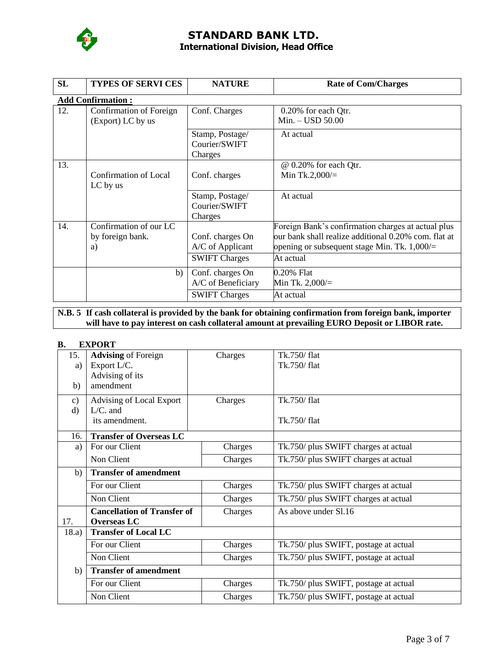

| <b>SL</b> | <b>TYPES OF SERVI CES</b>                    | <b>NATURE</b>                               | <b>Rate of Com/Charges</b>                           |  |  |  |
|-----------|----------------------------------------------|---------------------------------------------|------------------------------------------------------|--|--|--|
|           | <b>Add Confirmation:</b>                     |                                             |                                                      |  |  |  |
| 12.       | Confirmation of Foreign<br>(Export) LC by us | Conf. Charges                               | 0.20% for each Qtr.<br>$Min. - USD$ 50.00            |  |  |  |
|           |                                              | Stamp, Postage/<br>Courier/SWIFT<br>Charges | At actual                                            |  |  |  |
| 13.       | Confirmation of Local                        | Conf. charges                               | @ 0.20% for each Qtr.<br>Min Tk.2,000/ $=$           |  |  |  |
|           | LC by us                                     |                                             |                                                      |  |  |  |
|           |                                              | Stamp, Postage/                             | At actual                                            |  |  |  |
|           |                                              | Courier/SWIFT                               |                                                      |  |  |  |
|           |                                              | Charges                                     |                                                      |  |  |  |
| 14.       | Confirmation of our LC                       |                                             | Foreign Bank's confirmation charges at actual plus   |  |  |  |
|           | by foreign bank.                             | Conf. charges On                            | our bank shall realize additional 0.20% com. flat at |  |  |  |
|           | a)                                           | A/C of Applicant                            | opening or subsequent stage Min. Tk. $1,000/$ =      |  |  |  |
|           |                                              | <b>SWIFT Charges</b>                        | At actual                                            |  |  |  |
|           | b)                                           | Conf. charges On                            | 0.20% Flat                                           |  |  |  |
|           |                                              | A/C of Beneficiary                          | Min Tk. $2,000/$ =                                   |  |  |  |
|           |                                              | <b>SWIFT Charges</b>                        | At actual                                            |  |  |  |

### **N.B. 5 If cash collateral is provided by the bank for obtaining confirmation from foreign bank, importer will have to pay interest on cash collateral amount at prevailing EURO Deposit or LIBOR rate.**

### **B. EXPORT**

| 15.           | <b>Advising of Foreign</b>         | Charges | Tk.750/flat                           |
|---------------|------------------------------------|---------|---------------------------------------|
| a)            | Export L/C.                        |         | Tk.750/flat                           |
|               | Advising of its                    |         |                                       |
| b)            | amendment                          |         |                                       |
| $\mathbf{c})$ | Advising of Local Export           | Charges | Tk.750/flat                           |
| $\rm d)$      | $L/C.$ and                         |         |                                       |
|               | its amendment.                     |         | Tk.750/flat                           |
| 16.           | <b>Transfer of Overseas LC</b>     |         |                                       |
| a)            | For our Client                     | Charges | Tk.750/ plus SWIFT charges at actual  |
|               | Non Client                         | Charges | Tk.750/ plus SWIFT charges at actual  |
| b)            | <b>Transfer of amendment</b>       |         |                                       |
|               | For our Client                     | Charges | Tk.750/ plus SWIFT charges at actual  |
|               | Non Client                         | Charges | Tk.750/ plus SWIFT charges at actual  |
|               | <b>Cancellation of Transfer of</b> | Charges | As above under S1.16                  |
| 17.           | <b>Overseas LC</b>                 |         |                                       |
| 18.a)         | <b>Transfer of Local LC</b>        |         |                                       |
|               | For our Client                     | Charges | Tk.750/ plus SWIFT, postage at actual |
|               | Non Client                         | Charges | Tk.750/ plus SWIFT, postage at actual |
| b)            | <b>Transfer of amendment</b>       |         |                                       |
|               | For our Client                     | Charges | Tk.750/ plus SWIFT, postage at actual |
|               | Non Client                         | Charges | Tk.750/ plus SWIFT, postage at actual |
|               |                                    |         |                                       |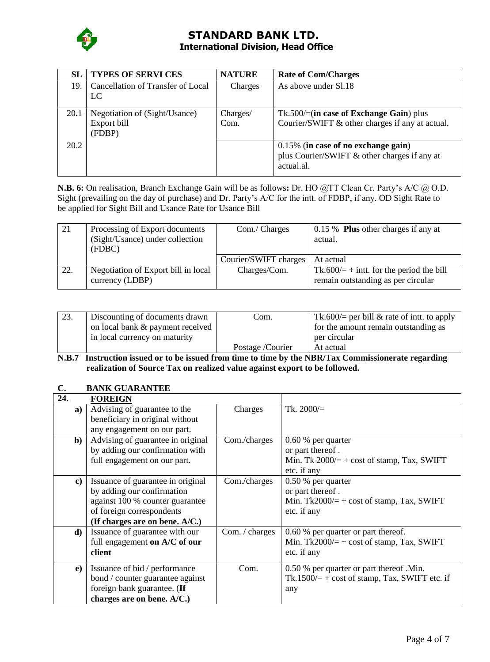

| SL.  | <b>TYPES OF SERVI CES</b>                              | <b>NATURE</b>    | <b>Rate of Com/Charges</b>                                                                        |
|------|--------------------------------------------------------|------------------|---------------------------------------------------------------------------------------------------|
| 19.  | Cancellation of Transfer of Local<br>LC                | Charges          | As above under S1.18                                                                              |
| 20.1 | Negotiation of (Sight/Usance)<br>Export bill<br>(FDBP) | Charges/<br>Com. | $Tk.500/=(in case of Exchange Gain)$ plus<br>Courier/SWIFT & other charges if any at actual.      |
| 20.2 |                                                        |                  | 0.15% (in case of no exchange gain)<br>plus Courier/SWIFT & other charges if any at<br>actual.al. |

**N.B. 6:** On realisation, Branch Exchange Gain will be as follows**:** Dr. HO @TT Clean Cr. Party's A/C @ O.D. Sight (prevailing on the day of purchase) and Dr. Party's A/C for the intt. of FDBP, if any. OD Sight Rate to be applied for Sight Bill and Usance Rate for Usance Bill

| 21  | Processing of Export documents<br>(Sight/Usance) under collection<br>(FDBC) | Com./ Charges         | 0.15 % Plus other charges if any at<br>actual.                                    |
|-----|-----------------------------------------------------------------------------|-----------------------|-----------------------------------------------------------------------------------|
|     |                                                                             | Courier/SWIFT charges | At actual                                                                         |
| 22. | Negotiation of Export bill in local<br>currency (LDBP)                      | Charges/Com.          | Tk.600/ $=$ + intt. for the period the bill<br>remain outstanding as per circular |

| 23. | Discounting of documents drawn   | Com.             | Tk.600/= per bill & rate of intt. to apply |
|-----|----------------------------------|------------------|--------------------------------------------|
|     | on local bank & payment received |                  | for the amount remain outstanding as       |
|     | in local currency on maturity    |                  | per circular                               |
|     |                                  | Postage /Courier | At actual                                  |

**N.B.7 Instruction issued or to be issued from time to time by the NBR/Tax Commissionerate regarding realization of Source Tax on realized value against export to be followed.**

### **C. BANK GUARANTEE**

| 24.          | <b>FOREIGN</b>                    |                |                                                  |
|--------------|-----------------------------------|----------------|--------------------------------------------------|
| a)           | Advising of guarantee to the      | Charges        | Tk. $2000/=$                                     |
|              | beneficiary in original without   |                |                                                  |
|              | any engagement on our part.       |                |                                                  |
| $\mathbf{b}$ | Advising of guarantee in original | Com./charges   | $0.60\%$ per quarter                             |
|              | by adding our confirmation with   |                | or part thereof.                                 |
|              | full engagement on our part.      |                | Min. Tk $2000/=\pm \cos t$ of stamp, Tax, SWIFT  |
|              |                                   |                | etc. if any                                      |
| $\bf c)$     | Issuance of guarantee in original | Com./charges   | $0.50\%$ per quarter                             |
|              | by adding our confirmation        |                | or part thereof.                                 |
|              | against 100 % counter guarantee   |                | Min. Tk2000/ $=$ + cost of stamp, Tax, SWIFT     |
|              | of foreign correspondents         |                | etc. if any                                      |
|              | (If charges are on bene. $A/C$ .) |                |                                                  |
| d)           | Issuance of guarantee with our    | Com. / charges | 0.60 % per quarter or part thereof.              |
|              | full engagement on A/C of our     |                | Min. Tk2000/ $=$ + cost of stamp, Tax, SWIFT     |
|              | client                            |                | etc. if any                                      |
|              |                                   |                |                                                  |
| e)           | Issuance of bid / performance     | Com.           | 0.50 % per quarter or part thereof .Min.         |
|              | bond / counter guarantee against  |                | Tk.1500/ $=$ + cost of stamp, Tax, SWIFT etc. if |
|              | foreign bank guarantee. (If       |                | any                                              |
|              | charges are on bene. A/C.)        |                |                                                  |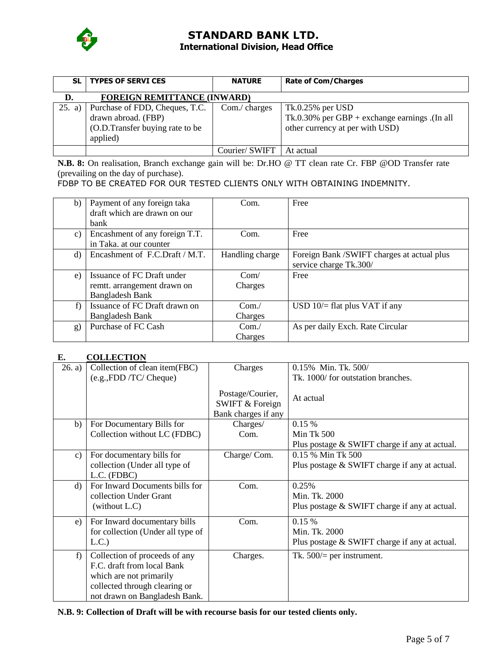

| <b>SL</b> | <b>TYPES OF SERVI CES</b>                                                                            | <b>NATURE</b> | <b>Rate of Com/Charges</b>                                                                                |
|-----------|------------------------------------------------------------------------------------------------------|---------------|-----------------------------------------------------------------------------------------------------------|
| D.        | <b>FOREIGN REMITTANCE (INWARD)</b>                                                                   |               |                                                                                                           |
| 25. a)    | Purchase of FDD, Cheques, T.C.<br>drawn abroad. (FBP)<br>(O.D.Transfer buying rate to be<br>applied) | Com./ charges | $Tk.0.25\%$ per USD<br>Tk.0.30% per $GBP$ + exchange earnings .(In all<br>other currency at per with USD) |
|           |                                                                                                      | Courier/SWIFT | At actual                                                                                                 |

**N.B. 8:** On realisation, Branch exchange gain will be: Dr.HO @ TT clean rate Cr. FBP @OD Transfer rate (prevailing on the day of purchase).

FDBP TO BE CREATED FOR OUR TESTED CLIENTS ONLY WITH OBTAINING INDEMNITY.

| b)      | Payment of any foreign taka    | Com.            | Free                                      |
|---------|--------------------------------|-----------------|-------------------------------------------|
|         | draft which are drawn on our   |                 |                                           |
|         | bank                           |                 |                                           |
| c)      | Encashment of any foreign T.T. | Com.            | Free                                      |
|         | in Taka. at our counter        |                 |                                           |
| $\rm d$ | Encashment of F.C.Draft / M.T. | Handling charge | Foreign Bank/SWIFT charges at actual plus |
|         |                                |                 | service charge Tk.300/                    |
| e)      | Issuance of FC Draft under     | Com/            | Free                                      |
|         | remtt. arrangement drawn on    | Charges         |                                           |
|         | <b>Bangladesh Bank</b>         |                 |                                           |
| f)      | Issuance of FC Draft drawn on  | Com/            | USD $10/$ = flat plus VAT if any          |
|         | <b>Bangladesh Bank</b>         | Charges         |                                           |
| g)      | Purchase of FC Cash            | Com/            | As per daily Exch. Rate Circular          |
|         |                                | Charges         |                                           |

### **E. COLLECTION**

| 26. a)        | Collection of clean item(FBC)                                                                                                                            | Charges                                                               | 0.15% Min. Tk. 500/                                                     |
|---------------|----------------------------------------------------------------------------------------------------------------------------------------------------------|-----------------------------------------------------------------------|-------------------------------------------------------------------------|
|               | (e.g., FDD / TC / Cheque)                                                                                                                                |                                                                       | Tk. 1000/ for outstation branches.                                      |
|               |                                                                                                                                                          | Postage/Courier,<br><b>SWIFT &amp; Foreign</b><br>Bank charges if any | At actual                                                               |
| b)            | For Documentary Bills for                                                                                                                                | Charges/                                                              | 0.15%                                                                   |
|               | Collection without LC (FDBC)                                                                                                                             | Com.                                                                  | Min Tk 500                                                              |
|               |                                                                                                                                                          |                                                                       | Plus postage & SWIFT charge if any at actual.                           |
| $\mathbf{c})$ | For documentary bills for                                                                                                                                | Charge/Com.                                                           | 0.15 % Min Tk 500                                                       |
|               | collection (Under all type of<br>L.C. (FDBC)                                                                                                             |                                                                       | Plus postage & SWIFT charge if any at actual.                           |
| d)            | For Inward Documents bills for<br>collection Under Grant<br>(without L.C)                                                                                | Com.                                                                  | 0.25%<br>Min. Tk. 2000<br>Plus postage & SWIFT charge if any at actual. |
| e)            | For Inward documentary bills                                                                                                                             | Com.                                                                  | 0.15%                                                                   |
|               | for collection (Under all type of                                                                                                                        |                                                                       | Min. Tk. 2000                                                           |
|               | L.C.                                                                                                                                                     |                                                                       | Plus postage & SWIFT charge if any at actual.                           |
| f)            | Collection of proceeds of any<br>F.C. draft from local Bank<br>which are not primarily<br>collected through clearing or<br>not drawn on Bangladesh Bank. | Charges.                                                              | Tk. $500/$ per instrument.                                              |

**N.B. 9: Collection of Draft will be with recourse basis for our tested clients only.**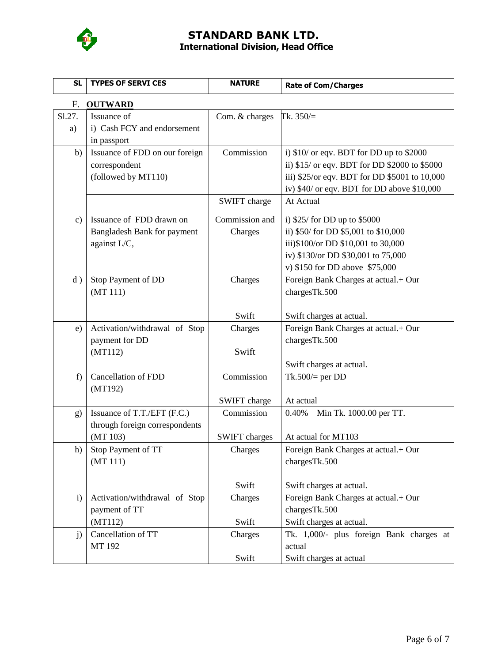

| <b>SL</b>            | <b>TYPES OF SERVI CES</b>      | <b>NATURE</b>        | <b>Rate of Com/Charges</b>                    |  |  |  |  |
|----------------------|--------------------------------|----------------------|-----------------------------------------------|--|--|--|--|
| <b>OUTWARD</b><br>F. |                                |                      |                                               |  |  |  |  |
| Sl.27.               | Issuance of                    | Com. & charges       | Tk. $350/$ =                                  |  |  |  |  |
| a)                   | i) Cash FCY and endorsement    |                      |                                               |  |  |  |  |
|                      | in passport                    |                      |                                               |  |  |  |  |
| b)                   | Issuance of FDD on our foreign | Commission           | i) $$10/$ or eqv. BDT for DD up to $$2000$    |  |  |  |  |
|                      | correspondent                  |                      | ii) \$15/ or eqv. BDT for DD \$2000 to \$5000 |  |  |  |  |
|                      | (followed by MT110)            |                      | iii) \$25/or eqv. BDT for DD \$5001 to 10,000 |  |  |  |  |
|                      |                                |                      | iv) \$40/ or eqv. BDT for DD above \$10,000   |  |  |  |  |
|                      |                                | SWIFT charge         | At Actual                                     |  |  |  |  |
| c)                   | Issuance of FDD drawn on       | Commission and       | i) $$25/$ for DD up to $$5000$                |  |  |  |  |
|                      | Bangladesh Bank for payment    | Charges              | ii) \$50/ for DD \$5,001 to \$10,000          |  |  |  |  |
|                      | against L/C,                   |                      | iii)\$100/or DD \$10,001 to 30,000            |  |  |  |  |
|                      |                                |                      | iv) \$130/or DD \$30,001 to 75,000            |  |  |  |  |
|                      |                                |                      | v) $$150$ for DD above $$75,000$              |  |  |  |  |
| d)                   | Stop Payment of DD             | Charges              | Foreign Bank Charges at actual.+ Our          |  |  |  |  |
|                      | (MT 111)                       |                      | chargesTk.500                                 |  |  |  |  |
|                      |                                |                      |                                               |  |  |  |  |
|                      |                                | Swift                | Swift charges at actual.                      |  |  |  |  |
| e)                   | Activation/withdrawal of Stop  | Charges              | Foreign Bank Charges at actual.+ Our          |  |  |  |  |
|                      | payment for DD<br>(MT112)      | Swift                | chargesTk.500                                 |  |  |  |  |
|                      |                                |                      | Swift charges at actual.                      |  |  |  |  |
| f)                   | <b>Cancellation of FDD</b>     | Commission           | Tk.500 $/=$ per DD                            |  |  |  |  |
|                      | (MT192)                        |                      |                                               |  |  |  |  |
|                      |                                | SWIFT charge         | At actual                                     |  |  |  |  |
| g)                   | Issuance of T.T./EFT (F.C.)    | Commission           | 0.40%<br>Min Tk. 1000.00 per TT.              |  |  |  |  |
|                      | through foreign correspondents |                      |                                               |  |  |  |  |
|                      | (MT 103)                       | <b>SWIFT</b> charges | At actual for MT103                           |  |  |  |  |
| h)                   | Stop Payment of TT             | Charges              | Foreign Bank Charges at actual.+ Our          |  |  |  |  |
|                      | (MT 111)                       |                      | chargesTk.500                                 |  |  |  |  |
|                      |                                |                      |                                               |  |  |  |  |
|                      |                                | Swift                | Swift charges at actual.                      |  |  |  |  |
| $\mathbf{i}$         | Activation/withdrawal of Stop  | Charges              | Foreign Bank Charges at actual.+ Our          |  |  |  |  |
|                      | payment of TT                  |                      | chargesTk.500                                 |  |  |  |  |
|                      | (MT112)                        | Swift                | Swift charges at actual.                      |  |  |  |  |
| j)                   | Cancellation of TT             | Charges              | Tk. 1,000/- plus foreign Bank charges at      |  |  |  |  |
|                      | MT 192                         |                      | actual                                        |  |  |  |  |
|                      |                                | Swift                | Swift charges at actual                       |  |  |  |  |